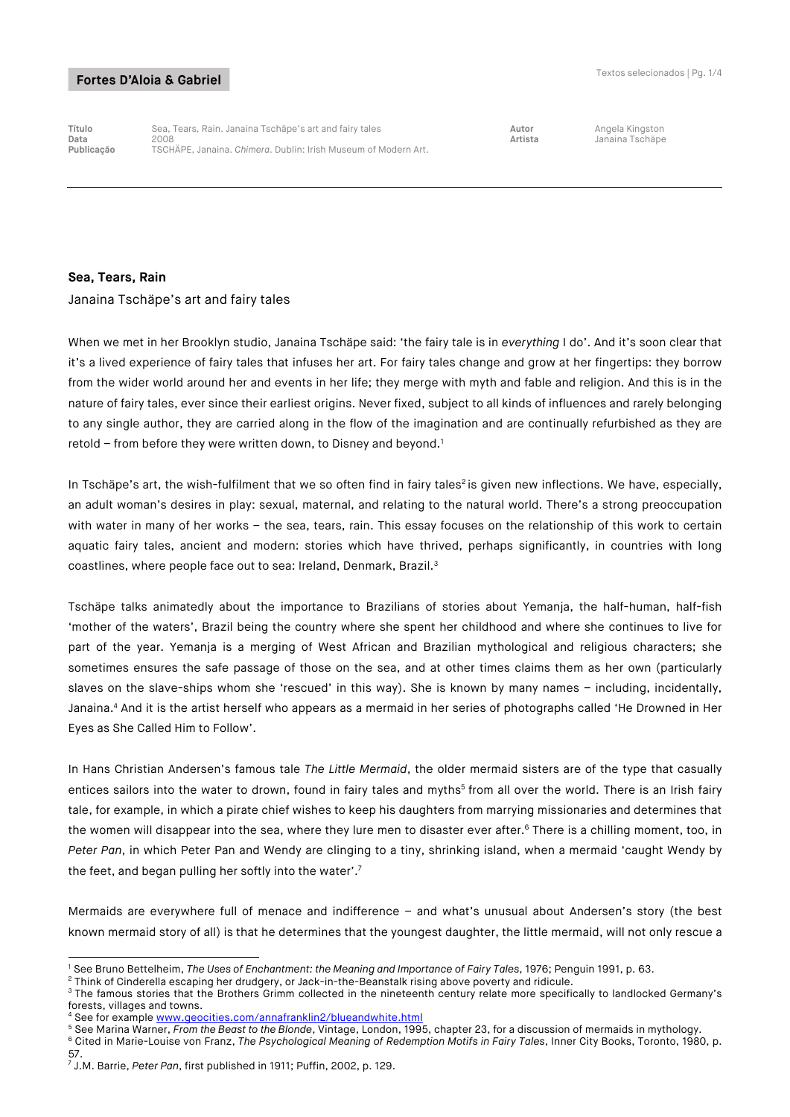**Título** Sea, Tears, Rain. Janaina Tschäpe's art and fairy tales **Autor** Angela Kingston **Data** 2008 **Artista** Janaina Tschäpe **Publicação** TSCHÄPE, Janaina. *Chimera*. Dublin: Irish Museum of Modern Art.

#### **Sea, Tears, Rain**

Janaina Tschäpe's art and fairy tales

When we met in her Brooklyn studio, Janaina Tschäpe said: 'the fairy tale is in *everything* I do'. And it's soon clear that it's a lived experience of fairy tales that infuses her art. For fairy tales change and grow at her fingertips: they borrow from the wider world around her and events in her life; they merge with myth and fable and religion. And this is in the nature of fairy tales, ever since their earliest origins. Never fixed, subject to all kinds of influences and rarely belonging to any single author, they are carried along in the flow of the imagination and are continually refurbished as they are retold  $-$  from before they were written down, to Disney and beyond.<sup>1</sup>

In Tschäpe's art, the wish-fulfilment that we so often find in fairy tales<sup>2</sup> is given new inflections. We have, especially, an adult woman's desires in play: sexual, maternal, and relating to the natural world. There's a strong preoccupation with water in many of her works – the sea, tears, rain. This essay focuses on the relationship of this work to certain aquatic fairy tales, ancient and modern: stories which have thrived, perhaps significantly, in countries with long coastlines, where people face out to sea: Ireland, Denmark, Brazil.<sup>3</sup>

Tschäpe talks animatedly about the importance to Brazilians of stories about Yemanja, the half-human, half-fish 'mother of the waters', Brazil being the country where she spent her childhood and where she continues to live for part of the year. Yemanja is a merging of West African and Brazilian mythological and religious characters; she sometimes ensures the safe passage of those on the sea, and at other times claims them as her own (particularly slaves on the slave-ships whom she 'rescued' in this way). She is known by many names – including, incidentally, Janaina.<sup>4</sup> And it is the artist herself who appears as a mermaid in her series of photographs called 'He Drowned in Her Eyes as She Called Him to Follow'.

In Hans Christian Andersen's famous tale *The Little Mermaid*, the older mermaid sisters are of the type that casually entices sailors into the water to drown, found in fairy tales and myths<sup>5</sup> from all over the world. There is an Irish fairy tale, for example, in which a pirate chief wishes to keep his daughters from marrying missionaries and determines that the women will disappear into the sea, where they lure men to disaster ever after.<sup>6</sup> There is a chilling moment, too, in *Peter Pan*, in which Peter Pan and Wendy are clinging to a tiny, shrinking island, when a mermaid 'caught Wendy by the feet, and began pulling her softly into the water'.7

Mermaids are everywhere full of menace and indifference – and what's unusual about Andersen's story (the best known mermaid story of all) is that he determines that the youngest daughter, the little mermaid, will not only rescue a

<sup>5</sup> See Marina Warner, *From the Beast to the Blonde*, Vintage, London, 1995, chapter 23, for a discussion of mermaids in mythology.

<sup>-</sup><sup>1</sup> See Bruno Bettelheim, *The Uses of Enchantment: the Meaning and Importance of Fairy Tales*, 1976; Penguin 1991, p. 63.

<sup>2</sup> Think of Cinderella escaping her drudgery, or Jack-in-the-Beanstalk rising above poverty and ridicule.

<sup>&</sup>lt;sup>3</sup> The famous stories that the Brothers Grimm collected in the nineteenth century relate more specifically to landlocked Germany's forests, villages and towns.

See for example www.geocities.com/annafranklin2/blueandwhite.html

<sup>6</sup> Cited in Marie-Louise von Franz, *The Psychological Meaning of Redemption Motifs in Fairy Tales*, Inner City Books, Toronto, 1980, p. 57.

<sup>7</sup> J.M. Barrie, *Peter Pan*, first published in 1911; Puffin, 2002, p. 129.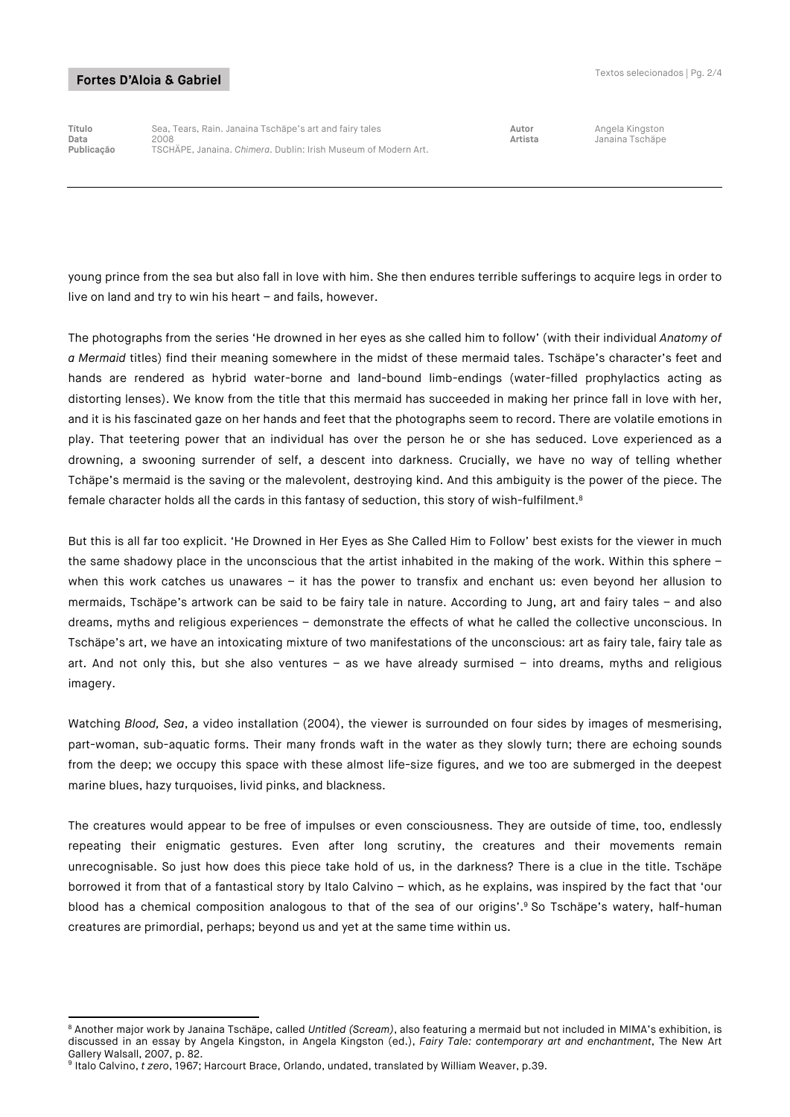-

**Título** Sea, Tears, Rain. Janaina Tschäpe's art and fairy tales **Autor** Angela Kingston **Data** 2008 **Artista** Janaina Tschäpe **Publicação** TSCHÄPE, Janaina. *Chimera*. Dublin: Irish Museum of Modern Art.

young prince from the sea but also fall in love with him. She then endures terrible sufferings to acquire legs in order to live on land and try to win his heart – and fails, however.

The photographs from the series 'He drowned in her eyes as she called him to follow' (with their individual *Anatomy of a Mermaid* titles) find their meaning somewhere in the midst of these mermaid tales. Tschäpe's character's feet and hands are rendered as hybrid water-borne and land-bound limb-endings (water-filled prophylactics acting as distorting lenses). We know from the title that this mermaid has succeeded in making her prince fall in love with her, and it is his fascinated gaze on her hands and feet that the photographs seem to record. There are volatile emotions in play. That teetering power that an individual has over the person he or she has seduced. Love experienced as a drowning, a swooning surrender of self, a descent into darkness. Crucially, we have no way of telling whether Tchäpe's mermaid is the saving or the malevolent, destroying kind. And this ambiguity is the power of the piece. The female character holds all the cards in this fantasy of seduction, this story of wish-fulfilment.<sup>8</sup>

But this is all far too explicit. 'He Drowned in Her Eyes as She Called Him to Follow' best exists for the viewer in much the same shadowy place in the unconscious that the artist inhabited in the making of the work. Within this sphere when this work catches us unawares – it has the power to transfix and enchant us: even beyond her allusion to mermaids, Tschäpe's artwork can be said to be fairy tale in nature. According to Jung, art and fairy tales – and also dreams, myths and religious experiences – demonstrate the effects of what he called the collective unconscious. In Tschäpe's art, we have an intoxicating mixture of two manifestations of the unconscious: art as fairy tale, fairy tale as art. And not only this, but she also ventures – as we have already surmised – into dreams, myths and religious imagery.

Watching *Blood, Sea*, a video installation (2004), the viewer is surrounded on four sides by images of mesmerising, part-woman, sub-aquatic forms. Their many fronds waft in the water as they slowly turn; there are echoing sounds from the deep; we occupy this space with these almost life-size figures, and we too are submerged in the deepest marine blues, hazy turquoises, livid pinks, and blackness.

The creatures would appear to be free of impulses or even consciousness. They are outside of time, too, endlessly repeating their enigmatic gestures. Even after long scrutiny, the creatures and their movements remain unrecognisable. So just how does this piece take hold of us, in the darkness? There is a clue in the title. Tschäpe borrowed it from that of a fantastical story by Italo Calvino – which, as he explains, was inspired by the fact that 'our blood has a chemical composition analogous to that of the sea of our origins'.<sup>9</sup> So Tschäpe's watery, half-human creatures are primordial, perhaps; beyond us and yet at the same time within us.

<sup>8</sup> Another major work by Janaina Tschäpe, called *Untitled (Scream)*, also featuring a mermaid but not included in MIMA's exhibition, is discussed in an essay by Angela Kingston, in Angela Kingston (ed.), *Fairy Tale: contemporary art and enchantment*, The New Art Gallery Walsall, 2007, p. 82.

<sup>9</sup> Italo Calvino, *t zero*, 1967; Harcourt Brace, Orlando, undated, translated by William Weaver, p.39.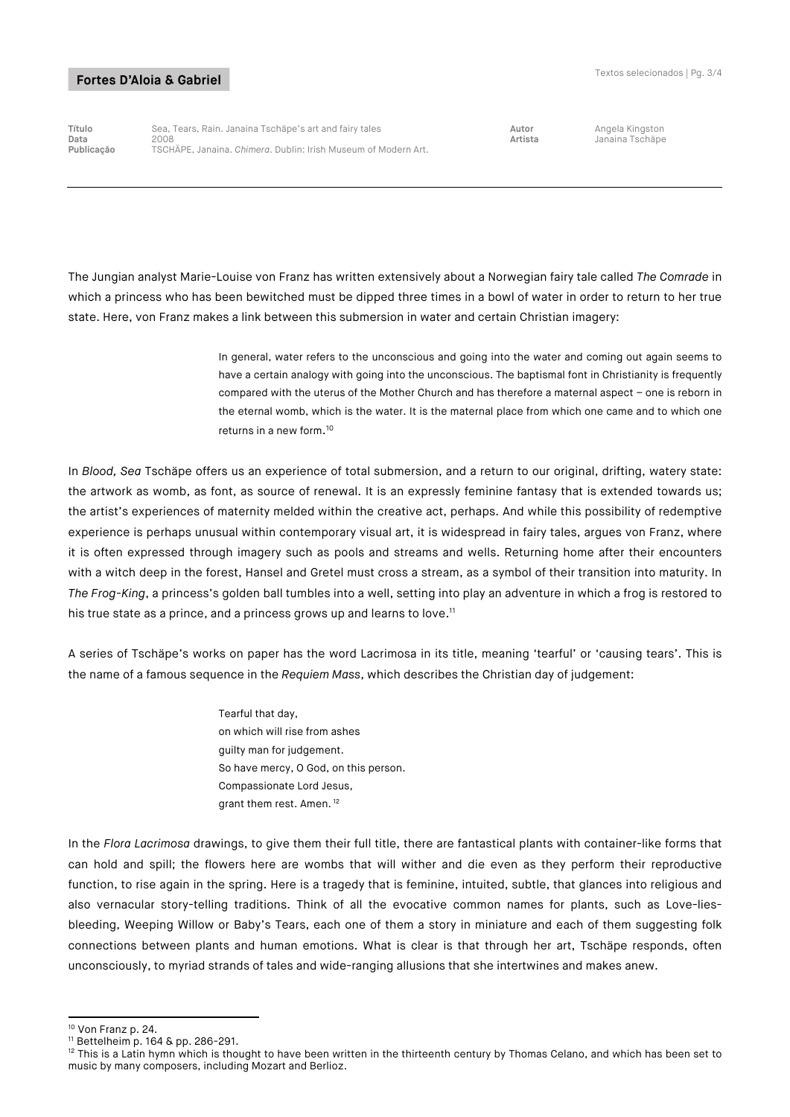**Título** Sea, Tears, Rain. Janaina Tschäpe's art and fairy tales **Autor** Angela Kingston **Data** 2008 **Artista** Janaina Tschäpe **Publicação** TSCHÄPE, Janaina. *Chimera*. Dublin: Irish Museum of Modern Art.

The Jungian analyst Marie-Louise von Franz has written extensively about a Norwegian fairy tale called *The Comrade* in which a princess who has been bewitched must be dipped three times in a bowl of water in order to return to her true state. Here, von Franz makes a link between this submersion in water and certain Christian imagery:

> In general, water refers to the unconscious and going into the water and coming out again seems to have a certain analogy with going into the unconscious. The baptismal font in Christianity is frequently compared with the uterus of the Mother Church and has therefore a maternal aspect – one is reborn in the eternal womb, which is the water. It is the maternal place from which one came and to which one returns in a new form. 10

In *Blood, Sea* Tschäpe offers us an experience of total submersion, and a return to our original, drifting, watery state: the artwork as womb, as font, as source of renewal. It is an expressly feminine fantasy that is extended towards us; the artist's experiences of maternity melded within the creative act, perhaps. And while this possibility of redemptive experience is perhaps unusual within contemporary visual art, it is widespread in fairy tales, argues von Franz, where it is often expressed through imagery such as pools and streams and wells. Returning home after their encounters with a witch deep in the forest, Hansel and Gretel must cross a stream, as a symbol of their transition into maturity. In *The Frog-King*, a princess's golden ball tumbles into a well, setting into play an adventure in which a frog is restored to his true state as a prince, and a princess grows up and learns to love.<sup>11</sup>

A series of Tschäpe's works on paper has the word Lacrimosa in its title, meaning 'tearful' or 'causing tears'. This is the name of a famous sequence in the *Requiem Mass*, which describes the Christian day of judgement:

> Tearful that day, on which will rise from ashes guilty man for judgement. So have mercy, O God, on this person. Compassionate Lord Jesus, grant them rest. Amen. <sup>12</sup>

In the *Flora Lacrimosa* drawings, to give them their full title, there are fantastical plants with container-like forms that can hold and spill; the flowers here are wombs that will wither and die even as they perform their reproductive function, to rise again in the spring. Here is a tragedy that is feminine, intuited, subtle, that glances into religious and also vernacular story-telling traditions. Think of all the evocative common names for plants, such as Love-liesbleeding, Weeping Willow or Baby's Tears, each one of them a story in miniature and each of them suggesting folk connections between plants and human emotions. What is clear is that through her art, Tschäpe responds, often unconsciously, to myriad strands of tales and wide-ranging allusions that she intertwines and makes anew.

<sup>-</sup><sup>10</sup> Von Franz p. 24.

<sup>11</sup> Bettelheim p. 164 & pp. 286-291.

<sup>&</sup>lt;sup>12</sup> This is a Latin hymn which is thought to have been written in the thirteenth century by Thomas Celano, and which has been set to music by many composers, including Mozart and Berlioz.